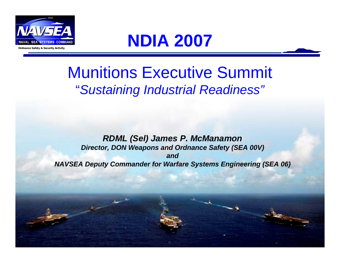

## **NDIA 2007**

## Munitions Executive Summit "*Sustaining Industrial Readiness"*

*RDML (Sel) James P. McManamon Director, DON Weapons and Ordnance Safety (SEA 00V) andNAVSEA Deputy Commander for Warfare Systems Engineering (SEA 06)*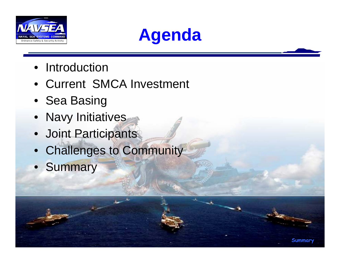

## **Agenda**

**Summary**

- Introduction
- Current SMCA Investment
- Sea Basing
- Navy Initiatives
- Joint Participants
- Challenges to Community
- Summary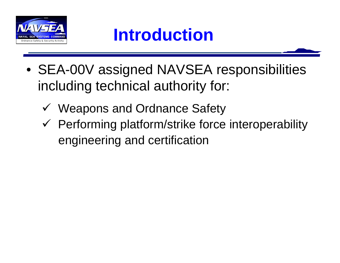

- SEA-00V assigned NAVSEA responsibilities including technical authority for:
	- V Weapons and Ordnance Safety
	- $\checkmark$  Performing platform/strike force interoperability engineering and certification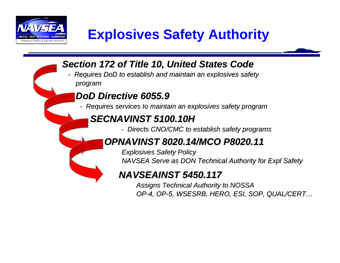

### **Explosives Safety Authority**

*Section 172 of Title 10, United States Code Section 172 of Title 10, United States Code*

*- Requires DoD to establish and Requires DoD to establish and maintain an explosives safety maintain an explosives safety program* 

#### *DoD Directive 6055.9 DoD Directive 6055.9*

*- Requires services to maintain an Requires services to maintain an explosives safe explosives safety program ty program* 

#### **SECNAVINST 5100.10H**

*- Directs CNO/CMC to est Directs CNO/CMC to establish safety programs ablish safety programs*

#### *OPNAVINST 8020.14/MCO P8020.11 OPNAVINST 8020.14/MCO P8020.11*

*Explosives Safety Policy Explosives Safety Policy NAVSEA Serve as DON Technical Authority for Expl Safety NAVSEA Serve as DON Technical Authority for Expl Safety*

#### *NAVSEAINST 5450.117 NAVSEAINST 5450.117*

*Assigns Technical Authority to NOSSA Assigns Technical Authority to NOSSA OP-4, OP-5, WSESRB, HERO, ESI, SOP, QUAL/CERT 5, WSESRB, HERO, ESI, SOP, QUAL/CERT…*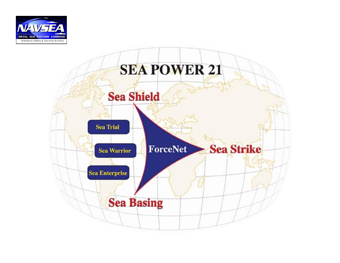

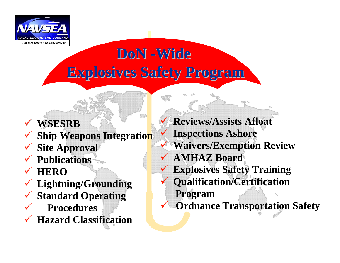

## **DoN -Wide Explosives Safety Program Explosives Safety Program**

#### $\checkmark$ **WSESRB**

- $\checkmark$ **Ship Weapons Integration**
- $\checkmark$ **Site Approval**
- $\checkmark$ **Publications**
- $\checkmark$ **HERO**
- $\checkmark$ **Lightning/Grounding**
- $\checkmark$ **Standard Operating**
- $\checkmark$ **Procedures**
- $\checkmark$ **Hazard Classification**

 $\checkmark$  **Reviews/Assists Afloat**  $\checkmark$  **Inspections Ashore**  $\checkmark$  **Waivers/Exemption Review**  $\checkmark$  **AMHAZ Board**  $\checkmark$  **Explosives Safety Training**  $\checkmark$  **Qualification/Certification Program**  $\checkmark$ **Ordnance Transportation Safety**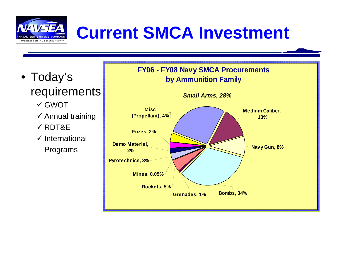

# **Current SMCA Investment**

• Today's requirements

- $\checkmark$  GWOT
- $\checkmark$  Annual training
- $\checkmark$  RDT&E
- $\checkmark$  International Programs

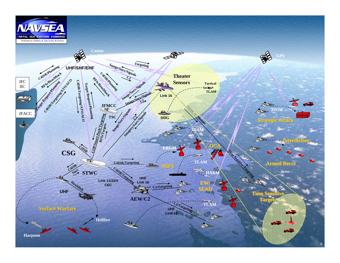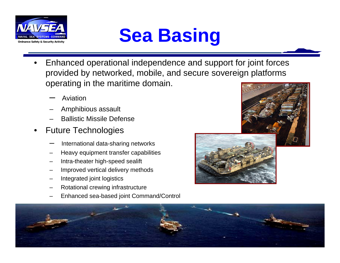

# **Sea Basic Command**<br> **Ordnance Safety & Security Activity**

- • Enhanced operational independence and support for joint forces provided by networked, mobile, and secure sovereign platforms operating in the maritime domain.
	- –Aviation
	- –Amphibious assault
	- –Ballistic Missile Defense
- • Future Technologies
	- International data-sharing networks
	- Heavy equipment transfer capabilities
	- Intra-theater high-speed sealift
	- Improved vertical delivery methods
	- Integrated joint logistics
	- Rotational crewing infrastructure
	- Enhanced sea-based joint Command/Control



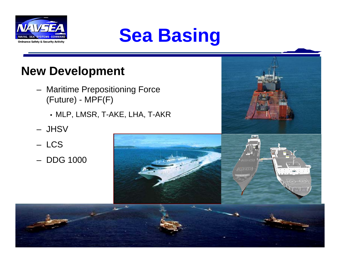



#### **New Development**

- Maritime Prepositioning Force (Future) - MPF(F)
	- MLP, LMSR, T-AKE, LHA, T-AKR
- JHSV
- LCS
- DDG 1000

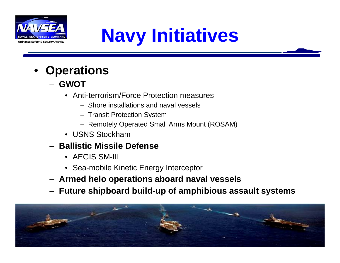

# **Naval SEA SYSTEMS COMMAND Naval SEA SYSTEMS COMMAND**

- • **Operations**
	- **GWOT**
		- Anti-terrorism/Force Protection measures
			- Shore installations and naval vessels
			- Transit Protection System
			- Remotely Operated Small Arms Mount (ROSAM)
		- USNS Stockham
	- **Ballistic Missile Defense**
		- AEGIS SM-III
		- Sea-mobile Kinetic Energy Interceptor
	- **Armed helo operations aboard naval vessels**
	- **Future shipboard build-up of amphibious assault systems**

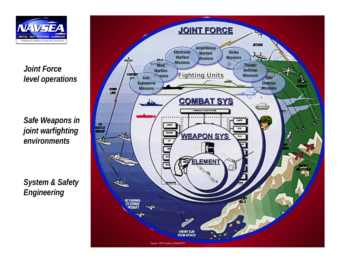

*Joint Force level operations* 

*Safe Weapons in joint warfighting environments*

*System & Safety Engineering*

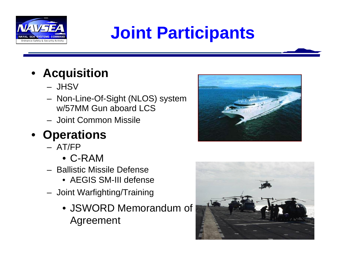

# **VALLEARED SORIES COMMAND JOINt Participants**

#### • **Acquisition**

- JHSV
- Non-Line-Of-Sight (NLOS) system w/57MM Gun aboard LCS
- Joint Common Missile

#### • **Operations**

- AT/FP
	- C-RAM
- Ballistic Missile Defense
	- AEGIS SM-III defense
- Joint Warfighting/Training
	- JSWORD Memorandum of Agreement



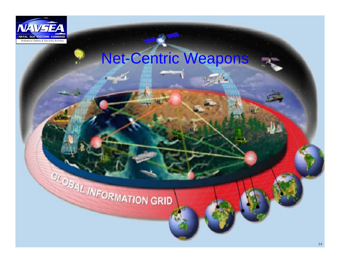

## Net-Centric Weapons

# **CLOBAL INFORMATION GRID**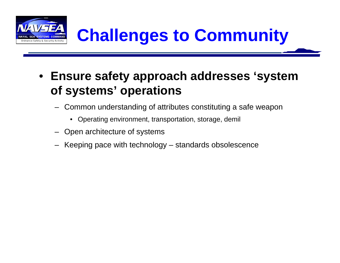

- **Ensure safety approach addresses 'system of systems' operations**
	- Common understanding of attributes constituting a safe weapon
		- Operating environment, transportation, storage, demil
	- Open architecture of systems
	- Keeping pace with technology standards obsolescence